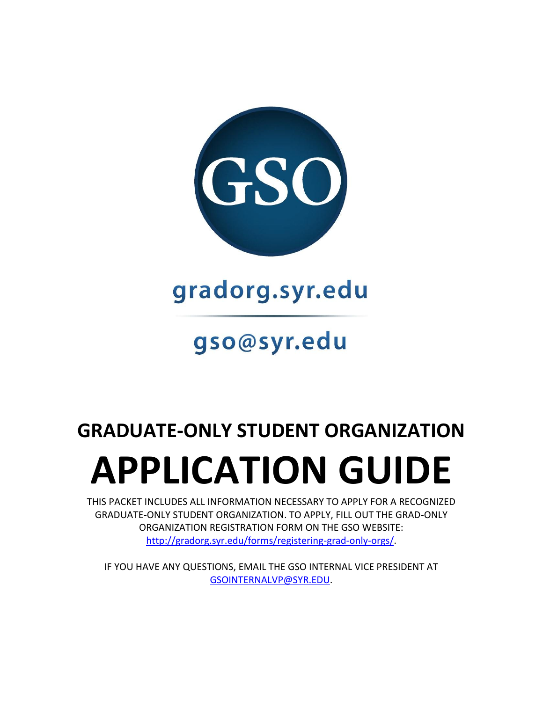

gradorg.syr.edu

# gso@syr.edu

# **GRADUATE-ONLY STUDENT ORGANIZATION**

# **APPLICATION GUIDE**

THIS PACKET INCLUDES ALL INFORMATION NECESSARY TO APPLY FOR A RECOGNIZED GRADUATE-ONLY STUDENT ORGANIZATION. TO APPLY, FILL OUT THE GRAD-ONLY ORGANIZATION REGISTRATION FORM ON THE GSO WEBSITE: [http://gradorg.syr.edu/forms/registering-grad-only-orgs/.](http://gradorg.syr.edu/forms/registering-grad-only-orgs/)

IF YOU HAVE ANY QUESTIONS, EMAIL THE GSO INTERNAL VICE PRESIDENT AT [GSOINTERNALVP@SYR.EDU.](mailto:GSOINTERNALVP@SYR.EDU)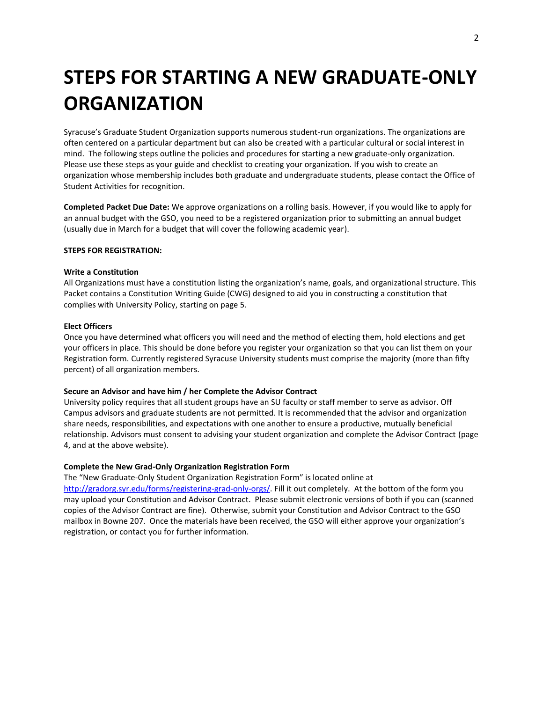# **STEPS FOR STARTING A NEW GRADUATE-ONLY ORGANIZATION**

Syracuse's Graduate Student Organization supports numerous student-run organizations. The organizations are often centered on a particular department but can also be created with a particular cultural or social interest in mind. The following steps outline the policies and procedures for starting a new graduate-only organization. Please use these steps as your guide and checklist to creating your organization. If you wish to create an organization whose membership includes both graduate and undergraduate students, please contact the Office of Student Activities for recognition.

**Completed Packet Due Date:** We approve organizations on a rolling basis. However, if you would like to apply for an annual budget with the GSO, you need to be a registered organization prior to submitting an annual budget (usually due in March for a budget that will cover the following academic year).

#### **STEPS FOR REGISTRATION:**

#### **Write a Constitution**

All Organizations must have a constitution listing the organization's name, goals, and organizational structure. This Packet contains a Constitution Writing Guide (CWG) designed to aid you in constructing a constitution that complies with University Policy, starting on page 5.

#### **Elect Officers**

Once you have determined what officers you will need and the method of electing them, hold elections and get your officers in place. This should be done before you register your organization so that you can list them on your Registration form. Currently registered Syracuse University students must comprise the majority (more than fifty percent) of all organization members.

#### **Secure an Advisor and have him / her Complete the Advisor Contract**

University policy requires that all student groups have an SU faculty or staff member to serve as advisor. Off Campus advisors and graduate students are not permitted. It is recommended that the advisor and organization share needs, responsibilities, and expectations with one another to ensure a productive, mutually beneficial relationship. Advisors must consent to advising your student organization and complete the Advisor Contract (page 4, and at the above website).

#### **Complete the New Grad-Only Organization Registration Form**

The "New Graduate-Only Student Organization Registration Form" is located online at [http://gradorg.syr.edu/forms/registering-grad-only-orgs/.](http://gradorg.syr.edu/forms/registering-grad-only-orgs/) Fill it out completely. At the bottom of the form you may upload your Constitution and Advisor Contract. Please submit electronic versions of both if you can (scanned copies of the Advisor Contract are fine). Otherwise, submit your Constitution and Advisor Contract to the GSO mailbox in Bowne 207. Once the materials have been received, the GSO will either approve your organization's registration, or contact you for further information.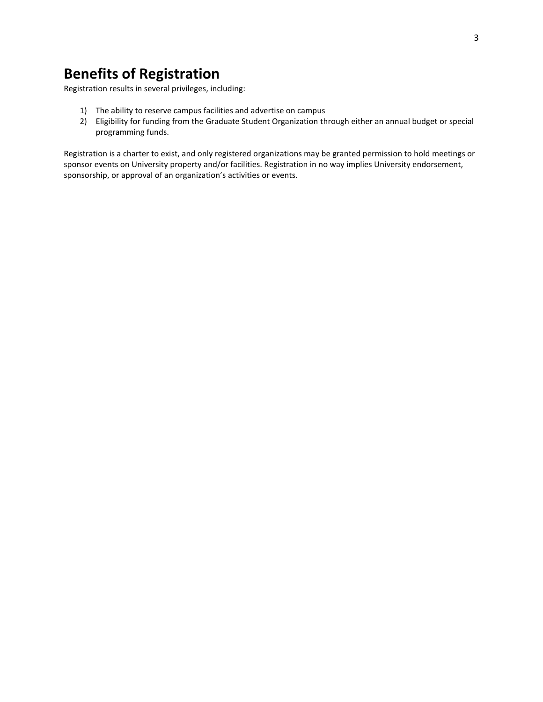# **Benefits of Registration**

Registration results in several privileges, including:

- 1) The ability to reserve campus facilities and advertise on campus
- 2) Eligibility for funding from the Graduate Student Organization through either an annual budget or special programming funds.

Registration is a charter to exist, and only registered organizations may be granted permission to hold meetings or sponsor events on University property and/or facilities. Registration in no way implies University endorsement, sponsorship, or approval of an organization's activities or events.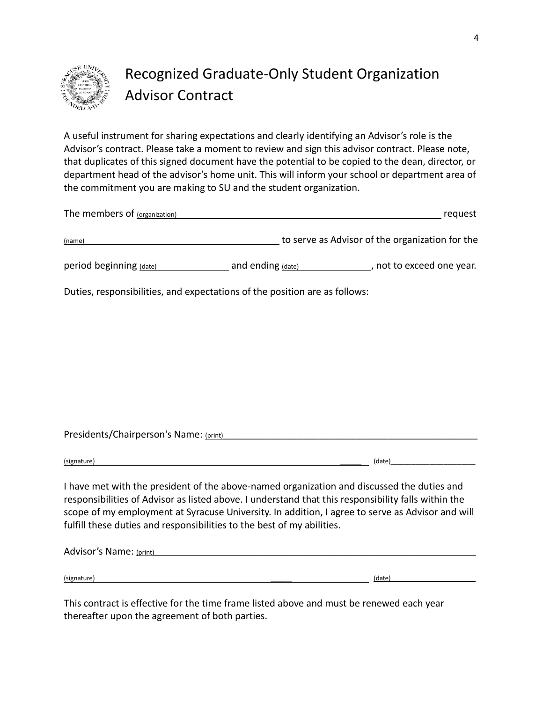

# Recognized Graduate-Only Student Organization Advisor Contract

A useful instrument for sharing expectations and clearly identifying an Advisor's role is the Advisor's contract. Please take a moment to review and sign this advisor contract. Please note, that duplicates of this signed document have the potential to be copied to the dean, director, or department head of the advisor's home unit. This will inform your school or department area of the commitment you are making to SU and the student organization.

| The members of (organization) | request                                                                    |
|-------------------------------|----------------------------------------------------------------------------|
| (name)                        | to serve as Advisor of the organization for the                            |
| period beginning (date)       | not to exceed one year.<br>and ending (date)                               |
|                               | Duties, responsibilities, and expectations of the position are as follows: |

Presidents/Chairperson's Name: (print)

 $\left($ signature)  $\left($ 

I have met with the president of the above-named organization and discussed the duties and responsibilities of Advisor as listed above. I understand that this responsibility falls within the scope of my employment at Syracuse University. In addition, I agree to serve as Advisor and will fulfill these duties and responsibilities to the best of my abilities.

| Advisor's Name: (print) |        |
|-------------------------|--------|
|                         |        |
| (signature)             | (date) |

This contract is effective for the time frame listed above and must be renewed each year thereafter upon the agreement of both parties.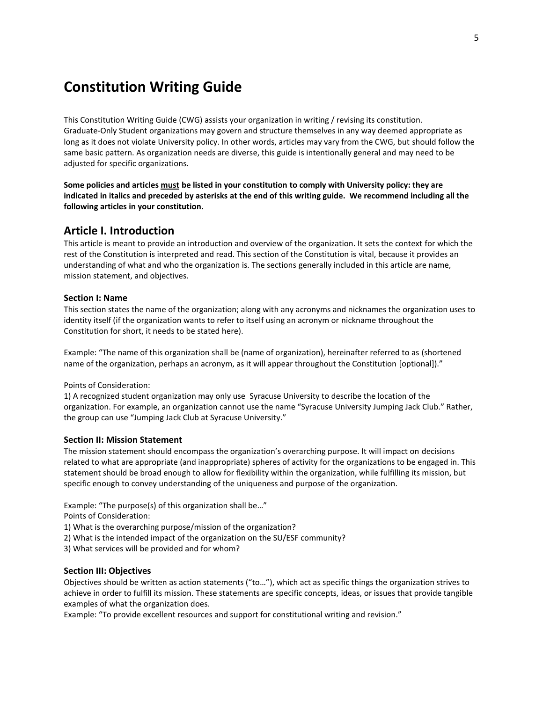# **Constitution Writing Guide**

This Constitution Writing Guide (CWG) assists your organization in writing / revising its constitution. Graduate-Only Student organizations may govern and structure themselves in any way deemed appropriate as long as it does not violate University policy. In other words, articles may vary from the CWG, but should follow the same basic pattern. As organization needs are diverse, this guide is intentionally general and may need to be adjusted for specific organizations.

**Some policies and articles must be listed in your constitution to comply with University policy: they are indicated in italics and preceded by asterisks at the end of this writing guide. We recommend including all the following articles in your constitution.**

## **Article I. Introduction**

This article is meant to provide an introduction and overview of the organization. It sets the context for which the rest of the Constitution is interpreted and read. This section of the Constitution is vital, because it provides an understanding of what and who the organization is. The sections generally included in this article are name, mission statement, and objectives.

#### **Section I: Name**

This section states the name of the organization; along with any acronyms and nicknames the organization uses to identity itself (if the organization wants to refer to itself using an acronym or nickname throughout the Constitution for short, it needs to be stated here).

Example: "The name of this organization shall be (name of organization), hereinafter referred to as (shortened name of the organization, perhaps an acronym, as it will appear throughout the Constitution [optional])."

Points of Consideration:

1) A recognized student organization may only use Syracuse University to describe the location of the organization. For example, an organization cannot use the name "Syracuse University Jumping Jack Club." Rather, the group can use "Jumping Jack Club at Syracuse University."

#### **Section II: Mission Statement**

The mission statement should encompass the organization's overarching purpose. It will impact on decisions related to what are appropriate (and inappropriate) spheres of activity for the organizations to be engaged in. This statement should be broad enough to allow for flexibility within the organization, while fulfilling its mission, but specific enough to convey understanding of the uniqueness and purpose of the organization.

Example: "The purpose(s) of this organization shall be…"

Points of Consideration:

1) What is the overarching purpose/mission of the organization?

2) What is the intended impact of the organization on the SU/ESF community?

3) What services will be provided and for whom?

#### **Section III: Objectives**

Objectives should be written as action statements ("to…"), which act as specific things the organization strives to achieve in order to fulfill its mission. These statements are specific concepts, ideas, or issues that provide tangible examples of what the organization does.

Example: "To provide excellent resources and support for constitutional writing and revision."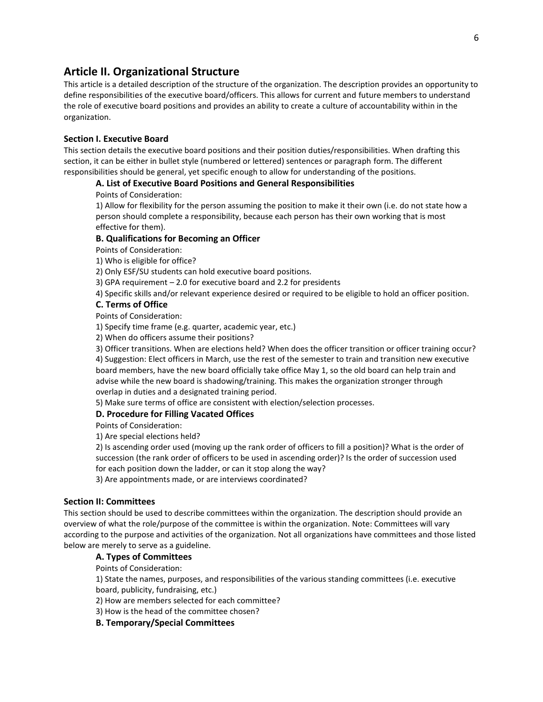## **Article II. Organizational Structure**

This article is a detailed description of the structure of the organization. The description provides an opportunity to define responsibilities of the executive board/officers. This allows for current and future members to understand the role of executive board positions and provides an ability to create a culture of accountability within in the organization.

#### **Section I. Executive Board**

This section details the executive board positions and their position duties/responsibilities. When drafting this section, it can be either in bullet style (numbered or lettered) sentences or paragraph form. The different responsibilities should be general, yet specific enough to allow for understanding of the positions.

#### **A. List of Executive Board Positions and General Responsibilities**

#### Points of Consideration:

1) Allow for flexibility for the person assuming the position to make it their own (i.e. do not state how a person should complete a responsibility, because each person has their own working that is most effective for them).

#### **B. Qualifications for Becoming an Officer**

Points of Consideration:

1) Who is eligible for office?

2) Only ESF/SU students can hold executive board positions.

3) GPA requirement – 2.0 for executive board and 2.2 for presidents

4) Specific skills and/or relevant experience desired or required to be eligible to hold an officer position.

#### **C. Terms of Office**

Points of Consideration:

1) Specify time frame (e.g. quarter, academic year, etc.)

2) When do officers assume their positions?

3) Officer transitions. When are elections held? When does the officer transition or officer training occur? 4) Suggestion: Elect officers in March, use the rest of the semester to train and transition new executive board members, have the new board officially take office May 1, so the old board can help train and advise while the new board is shadowing/training. This makes the organization stronger through overlap in duties and a designated training period.

5) Make sure terms of office are consistent with election/selection processes.

#### **D. Procedure for Filling Vacated Offices**

Points of Consideration:

1) Are special elections held?

2) Is ascending order used (moving up the rank order of officers to fill a position)? What is the order of succession (the rank order of officers to be used in ascending order)? Is the order of succession used for each position down the ladder, or can it stop along the way?

3) Are appointments made, or are interviews coordinated?

#### **Section II: Committees**

This section should be used to describe committees within the organization. The description should provide an overview of what the role/purpose of the committee is within the organization. Note: Committees will vary according to the purpose and activities of the organization. Not all organizations have committees and those listed below are merely to serve as a guideline.

#### **A. Types of Committees**

Points of Consideration:

1) State the names, purposes, and responsibilities of the various standing committees (i.e. executive board, publicity, fundraising, etc.)

2) How are members selected for each committee?

3) How is the head of the committee chosen?

#### **B. Temporary/Special Committees**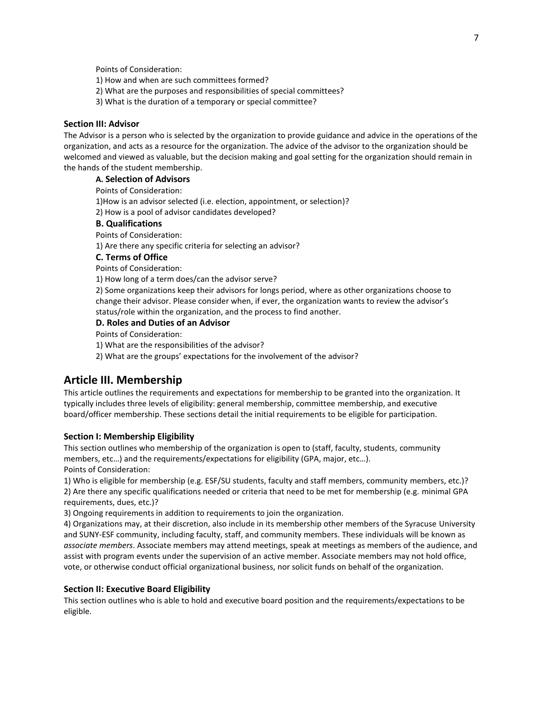Points of Consideration:

1) How and when are such committees formed?

- 2) What are the purposes and responsibilities of special committees?
- 3) What is the duration of a temporary or special committee?

#### **Section III: Advisor**

The Advisor is a person who is selected by the organization to provide guidance and advice in the operations of the organization, and acts as a resource for the organization. The advice of the advisor to the organization should be welcomed and viewed as valuable, but the decision making and goal setting for the organization should remain in the hands of the student membership.

#### **A. Selection of Advisors**

Points of Consideration:

1)How is an advisor selected (i.e. election, appointment, or selection)?

2) How is a pool of advisor candidates developed?

#### **B. Qualifications**

Points of Consideration:

1) Are there any specific criteria for selecting an advisor?

#### **C. Terms of Office**

Points of Consideration:

1) How long of a term does/can the advisor serve?

2) Some organizations keep their advisors for longs period, where as other organizations choose to change their advisor. Please consider when, if ever, the organization wants to review the advisor's status/role within the organization, and the process to find another.

#### **D. Roles and Duties of an Advisor**

Points of Consideration:

1) What are the responsibilities of the advisor?

2) What are the groups' expectations for the involvement of the advisor?

#### **Article III. Membership**

This article outlines the requirements and expectations for membership to be granted into the organization. It typically includes three levels of eligibility: general membership, committee membership, and executive board/officer membership. These sections detail the initial requirements to be eligible for participation.

#### **Section I: Membership Eligibility**

This section outlines who membership of the organization is open to (staff, faculty, students, community members, etc…) and the requirements/expectations for eligibility (GPA, major, etc…). Points of Consideration:

1) Who is eligible for membership (e.g. ESF/SU students, faculty and staff members, community members, etc.)? 2) Are there any specific qualifications needed or criteria that need to be met for membership (e.g. minimal GPA requirements, dues, etc.)?

3) Ongoing requirements in addition to requirements to join the organization.

4) Organizations may, at their discretion, also include in its membership other members of the Syracuse University and SUNY-ESF community, including faculty, staff, and community members. These individuals will be known as *associate members*. Associate members may attend meetings, speak at meetings as members of the audience, and assist with program events under the supervision of an active member. Associate members may not hold office, vote, or otherwise conduct official organizational business, nor solicit funds on behalf of the organization.

#### **Section II: Executive Board Eligibility**

This section outlines who is able to hold and executive board position and the requirements/expectations to be eligible.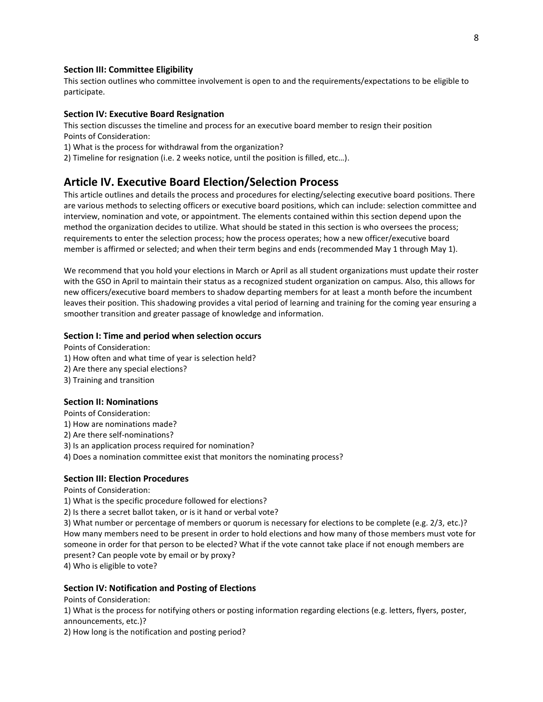#### **Section III: Committee Eligibility**

This section outlines who committee involvement is open to and the requirements/expectations to be eligible to participate.

#### **Section IV: Executive Board Resignation**

This section discusses the timeline and process for an executive board member to resign their position Points of Consideration:

1) What is the process for withdrawal from the organization?

2) Timeline for resignation (i.e. 2 weeks notice, until the position is filled, etc…).

#### **Article IV. Executive Board Election/Selection Process**

This article outlines and details the process and procedures for electing/selecting executive board positions. There are various methods to selecting officers or executive board positions, which can include: selection committee and interview, nomination and vote, or appointment. The elements contained within this section depend upon the method the organization decides to utilize. What should be stated in this section is who oversees the process; requirements to enter the selection process; how the process operates; how a new officer/executive board member is affirmed or selected; and when their term begins and ends (recommended May 1 through May 1).

We recommend that you hold your elections in March or April as all student organizations must update their roster with the GSO in April to maintain their status as a recognized student organization on campus. Also, this allows for new officers/executive board members to shadow departing members for at least a month before the incumbent leaves their position. This shadowing provides a vital period of learning and training for the coming year ensuring a smoother transition and greater passage of knowledge and information.

#### **Section I: Time and period when selection occurs**

Points of Consideration:

- 1) How often and what time of year is selection held?
- 2) Are there any special elections?
- 3) Training and transition

#### **Section II: Nominations**

Points of Consideration:

- 1) How are nominations made?
- 2) Are there self-nominations?
- 3) Is an application process required for nomination?
- 4) Does a nomination committee exist that monitors the nominating process?

#### **Section III: Election Procedures**

Points of Consideration:

- 1) What is the specific procedure followed for elections?
- 2) Is there a secret ballot taken, or is it hand or verbal vote?

3) What number or percentage of members or quorum is necessary for elections to be complete (e.g. 2/3, etc.)? How many members need to be present in order to hold elections and how many of those members must vote for someone in order for that person to be elected? What if the vote cannot take place if not enough members are present? Can people vote by email or by proxy?

4) Who is eligible to vote?

#### **Section IV: Notification and Posting of Elections**

Points of Consideration:

1) What is the process for notifying others or posting information regarding elections (e.g. letters, flyers, poster, announcements, etc.)?

2) How long is the notification and posting period?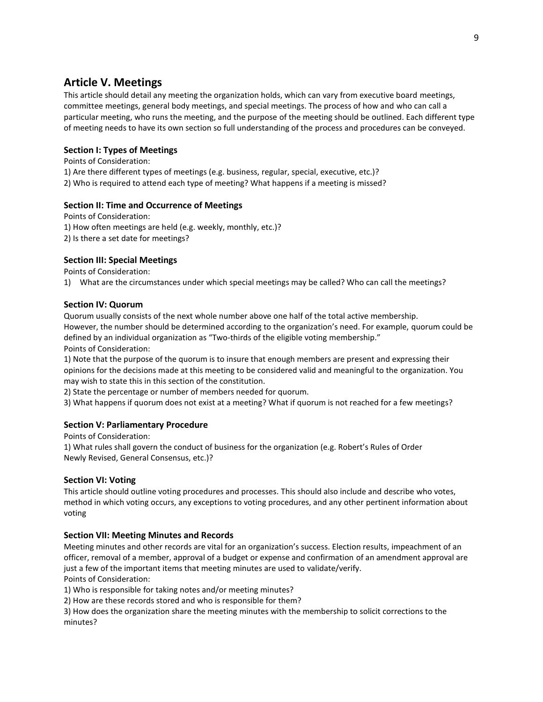# **Article V. Meetings**

This article should detail any meeting the organization holds, which can vary from executive board meetings, committee meetings, general body meetings, and special meetings. The process of how and who can call a particular meeting, who runs the meeting, and the purpose of the meeting should be outlined. Each different type of meeting needs to have its own section so full understanding of the process and procedures can be conveyed.

#### **Section I: Types of Meetings**

Points of Consideration:

1) Are there different types of meetings (e.g. business, regular, special, executive, etc.)?

2) Who is required to attend each type of meeting? What happens if a meeting is missed?

#### **Section II: Time and Occurrence of Meetings**

Points of Consideration: 1) How often meetings are held (e.g. weekly, monthly, etc.)? 2) Is there a set date for meetings?

#### **Section III: Special Meetings**

Points of Consideration:

1) What are the circumstances under which special meetings may be called? Who can call the meetings?

#### **Section IV: Quorum**

Quorum usually consists of the next whole number above one half of the total active membership. However, the number should be determined according to the organization's need. For example, quorum could be defined by an individual organization as "Two-thirds of the eligible voting membership." Points of Consideration:

1) Note that the purpose of the quorum is to insure that enough members are present and expressing their opinions for the decisions made at this meeting to be considered valid and meaningful to the organization. You may wish to state this in this section of the constitution.

2) State the percentage or number of members needed for quorum.

3) What happens if quorum does not exist at a meeting? What if quorum is not reached for a few meetings?

#### **Section V: Parliamentary Procedure**

Points of Consideration:

1) What rules shall govern the conduct of business for the organization (e.g. Robert's Rules of Order Newly Revised, General Consensus, etc.)?

#### **Section VI: Voting**

This article should outline voting procedures and processes. This should also include and describe who votes, method in which voting occurs, any exceptions to voting procedures, and any other pertinent information about voting

#### **Section VII: Meeting Minutes and Records**

Meeting minutes and other records are vital for an organization's success. Election results, impeachment of an officer, removal of a member, approval of a budget or expense and confirmation of an amendment approval are just a few of the important items that meeting minutes are used to validate/verify. Points of Consideration:

1) Who is responsible for taking notes and/or meeting minutes?

2) How are these records stored and who is responsible for them?

3) How does the organization share the meeting minutes with the membership to solicit corrections to the minutes?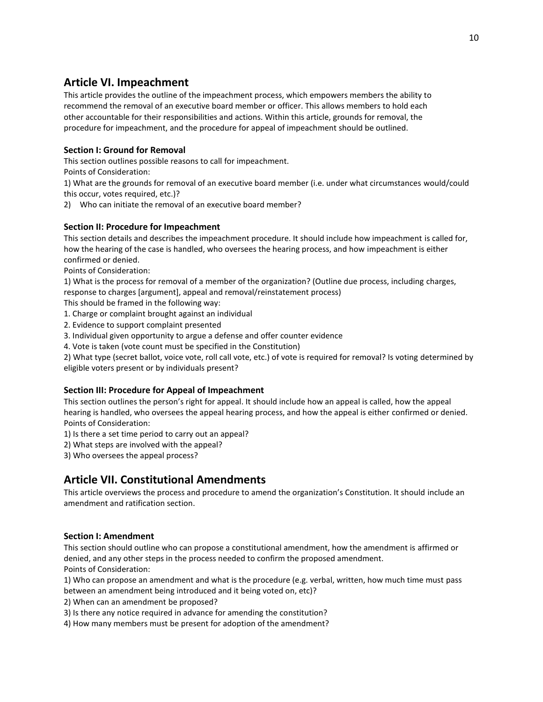# **Article VI. Impeachment**

This article provides the outline of the impeachment process, which empowers members the ability to recommend the removal of an executive board member or officer. This allows members to hold each other accountable for their responsibilities and actions. Within this article, grounds for removal, the procedure for impeachment, and the procedure for appeal of impeachment should be outlined.

#### **Section I: Ground for Removal**

This section outlines possible reasons to call for impeachment.

Points of Consideration:

1) What are the grounds for removal of an executive board member (i.e. under what circumstances would/could this occur, votes required, etc.)?

2) Who can initiate the removal of an executive board member?

#### **Section II: Procedure for Impeachment**

This section details and describes the impeachment procedure. It should include how impeachment is called for, how the hearing of the case is handled, who oversees the hearing process, and how impeachment is either confirmed or denied.

Points of Consideration:

1) What is the process for removal of a member of the organization? (Outline due process, including charges, response to charges [argument], appeal and removal/reinstatement process)

This should be framed in the following way:

- 1. Charge or complaint brought against an individual
- 2. Evidence to support complaint presented
- 3. Individual given opportunity to argue a defense and offer counter evidence
- 4. Vote is taken (vote count must be specified in the Constitution)

2) What type (secret ballot, voice vote, roll call vote, etc.) of vote is required for removal? Is voting determined by eligible voters present or by individuals present?

#### **Section III: Procedure for Appeal of Impeachment**

This section outlines the person's right for appeal. It should include how an appeal is called, how the appeal hearing is handled, who oversees the appeal hearing process, and how the appeal is either confirmed or denied. Points of Consideration:

1) Is there a set time period to carry out an appeal?

2) What steps are involved with the appeal?

3) Who oversees the appeal process?

# **Article VII. Constitutional Amendments**

This article overviews the process and procedure to amend the organization's Constitution. It should include an amendment and ratification section.

#### **Section I: Amendment**

This section should outline who can propose a constitutional amendment, how the amendment is affirmed or denied, and any other steps in the process needed to confirm the proposed amendment. Points of Consideration:

1) Who can propose an amendment and what is the procedure (e.g. verbal, written, how much time must pass between an amendment being introduced and it being voted on, etc)?

2) When can an amendment be proposed?

3) Is there any notice required in advance for amending the constitution?

4) How many members must be present for adoption of the amendment?